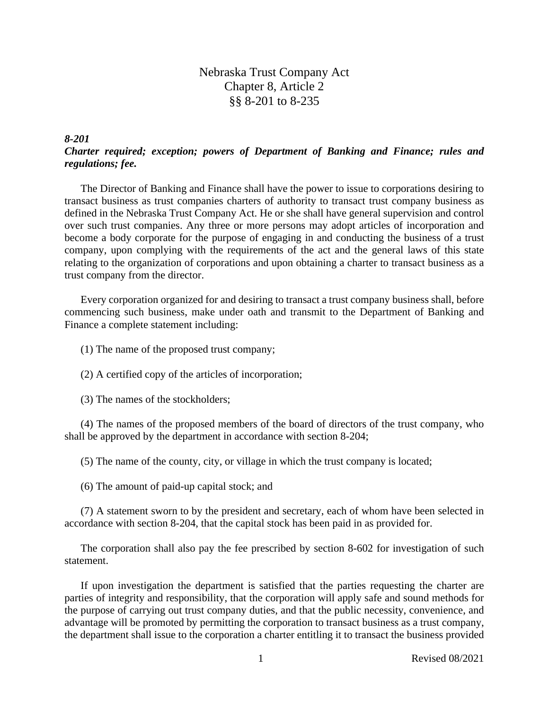Nebraska Trust Company Act Chapter 8, Article 2 §§ 8-201 to 8-235

*8-201*

# *Charter required; exception; powers of Department of Banking and Finance; rules and regulations; fee.*

The Director of Banking and Finance shall have the power to issue to corporations desiring to transact business as trust companies charters of authority to transact trust company business as defined in the Nebraska Trust Company Act. He or she shall have general supervision and control over such trust companies. Any three or more persons may adopt articles of incorporation and become a body corporate for the purpose of engaging in and conducting the business of a trust company, upon complying with the requirements of the act and the general laws of this state relating to the organization of corporations and upon obtaining a charter to transact business as a trust company from the director.

Every corporation organized for and desiring to transact a trust company business shall, before commencing such business, make under oath and transmit to the Department of Banking and Finance a complete statement including:

(1) The name of the proposed trust company;

(2) A certified copy of the articles of incorporation;

(3) The names of the stockholders;

(4) The names of the proposed members of the board of directors of the trust company, who shall be approved by the department in accordance with section 8-204;

(5) The name of the county, city, or village in which the trust company is located;

(6) The amount of paid-up capital stock; and

(7) A statement sworn to by the president and secretary, each of whom have been selected in accordance with section 8-204, that the capital stock has been paid in as provided for.

The corporation shall also pay the fee prescribed by section 8-602 for investigation of such statement.

If upon investigation the department is satisfied that the parties requesting the charter are parties of integrity and responsibility, that the corporation will apply safe and sound methods for the purpose of carrying out trust company duties, and that the public necessity, convenience, and advantage will be promoted by permitting the corporation to transact business as a trust company, the department shall issue to the corporation a charter entitling it to transact the business provided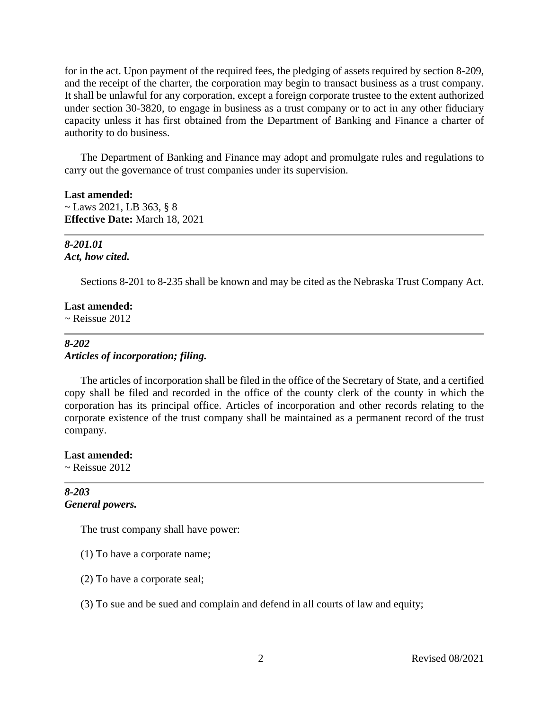for in the act. Upon payment of the required fees, the pledging of assets required by section 8-209, and the receipt of the charter, the corporation may begin to transact business as a trust company. It shall be unlawful for any corporation, except a foreign corporate trustee to the extent authorized under section 30-3820, to engage in business as a trust company or to act in any other fiduciary capacity unless it has first obtained from the Department of Banking and Finance a charter of authority to do business.

The Department of Banking and Finance may adopt and promulgate rules and regulations to carry out the governance of trust companies under its supervision.

#### **Last amended:**

 $\sim$  Laws 2021, LB 363, § 8 **Effective Date:** March 18, 2021

#### *8-201.01 Act, how cited.*

Sections 8-201 to 8-235 shall be known and may be cited as the Nebraska Trust Company Act.

#### **Last amended:**

 $\sim$  Reissue 2012

## *8-202 Articles of incorporation; filing.*

The articles of incorporation shall be filed in the office of the Secretary of State, and a certified copy shall be filed and recorded in the office of the county clerk of the county in which the corporation has its principal office. Articles of incorporation and other records relating to the corporate existence of the trust company shall be maintained as a permanent record of the trust company.

#### **Last amended:**

 $\sim$  Reissue 2012

# *8-203 General powers.*

The trust company shall have power:

- (1) To have a corporate name;
- (2) To have a corporate seal;
- (3) To sue and be sued and complain and defend in all courts of law and equity;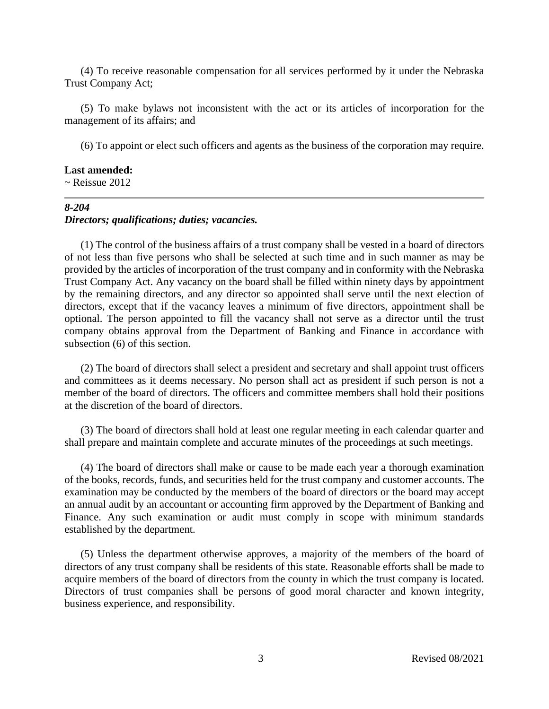(4) To receive reasonable compensation for all services performed by it under the Nebraska Trust Company Act;

(5) To make bylaws not inconsistent with the act or its articles of incorporation for the management of its affairs; and

(6) To appoint or elect such officers and agents as the business of the corporation may require.

#### **Last amended:**

 $\sim$  Reissue 2012

# *8-204*

#### *Directors; qualifications; duties; vacancies.*

(1) The control of the business affairs of a trust company shall be vested in a board of directors of not less than five persons who shall be selected at such time and in such manner as may be provided by the articles of incorporation of the trust company and in conformity with the Nebraska Trust Company Act. Any vacancy on the board shall be filled within ninety days by appointment by the remaining directors, and any director so appointed shall serve until the next election of directors, except that if the vacancy leaves a minimum of five directors, appointment shall be optional. The person appointed to fill the vacancy shall not serve as a director until the trust company obtains approval from the Department of Banking and Finance in accordance with subsection (6) of this section.

(2) The board of directors shall select a president and secretary and shall appoint trust officers and committees as it deems necessary. No person shall act as president if such person is not a member of the board of directors. The officers and committee members shall hold their positions at the discretion of the board of directors.

(3) The board of directors shall hold at least one regular meeting in each calendar quarter and shall prepare and maintain complete and accurate minutes of the proceedings at such meetings.

(4) The board of directors shall make or cause to be made each year a thorough examination of the books, records, funds, and securities held for the trust company and customer accounts. The examination may be conducted by the members of the board of directors or the board may accept an annual audit by an accountant or accounting firm approved by the Department of Banking and Finance. Any such examination or audit must comply in scope with minimum standards established by the department.

(5) Unless the department otherwise approves, a majority of the members of the board of directors of any trust company shall be residents of this state. Reasonable efforts shall be made to acquire members of the board of directors from the county in which the trust company is located. Directors of trust companies shall be persons of good moral character and known integrity, business experience, and responsibility.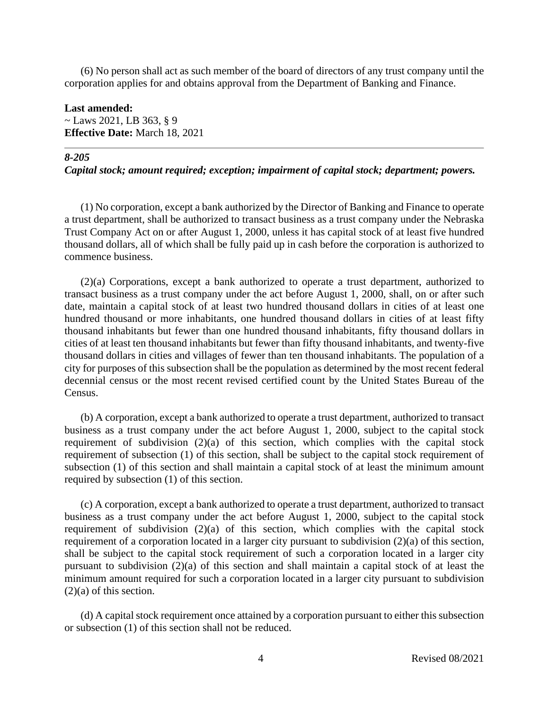(6) No person shall act as such member of the board of directors of any trust company until the corporation applies for and obtains approval from the Department of Banking and Finance.

## **Last amended:**

 $\sim$  Laws 2021, LB 363, § 9 **Effective Date:** March 18, 2021

#### *8-205*

#### *Capital stock; amount required; exception; impairment of capital stock; department; powers.*

(1) No corporation, except a bank authorized by the Director of Banking and Finance to operate a trust department, shall be authorized to transact business as a trust company under the Nebraska Trust Company Act on or after August 1, 2000, unless it has capital stock of at least five hundred thousand dollars, all of which shall be fully paid up in cash before the corporation is authorized to commence business.

(2)(a) Corporations, except a bank authorized to operate a trust department, authorized to transact business as a trust company under the act before August 1, 2000, shall, on or after such date, maintain a capital stock of at least two hundred thousand dollars in cities of at least one hundred thousand or more inhabitants, one hundred thousand dollars in cities of at least fifty thousand inhabitants but fewer than one hundred thousand inhabitants, fifty thousand dollars in cities of at least ten thousand inhabitants but fewer than fifty thousand inhabitants, and twenty-five thousand dollars in cities and villages of fewer than ten thousand inhabitants. The population of a city for purposes of this subsection shall be the population as determined by the most recent federal decennial census or the most recent revised certified count by the United States Bureau of the Census.

(b) A corporation, except a bank authorized to operate a trust department, authorized to transact business as a trust company under the act before August 1, 2000, subject to the capital stock requirement of subdivision (2)(a) of this section, which complies with the capital stock requirement of subsection (1) of this section, shall be subject to the capital stock requirement of subsection (1) of this section and shall maintain a capital stock of at least the minimum amount required by subsection (1) of this section.

(c) A corporation, except a bank authorized to operate a trust department, authorized to transact business as a trust company under the act before August 1, 2000, subject to the capital stock requirement of subdivision (2)(a) of this section, which complies with the capital stock requirement of a corporation located in a larger city pursuant to subdivision (2)(a) of this section, shall be subject to the capital stock requirement of such a corporation located in a larger city pursuant to subdivision (2)(a) of this section and shall maintain a capital stock of at least the minimum amount required for such a corporation located in a larger city pursuant to subdivision (2)(a) of this section.

(d) A capital stock requirement once attained by a corporation pursuant to either this subsection or subsection (1) of this section shall not be reduced.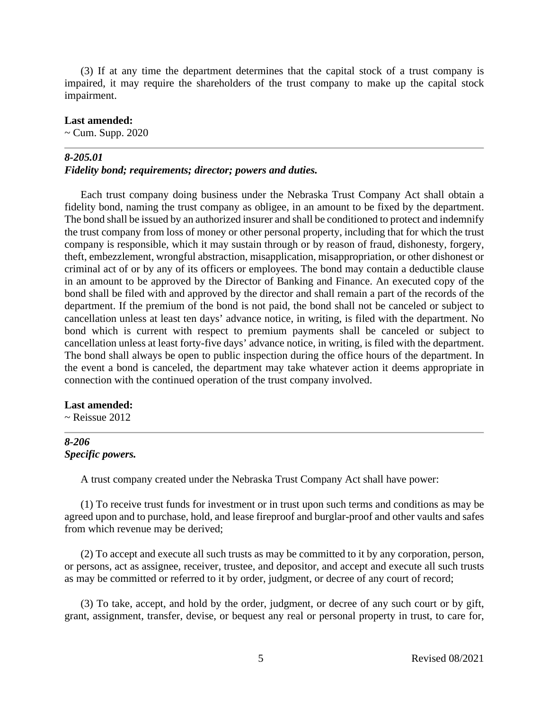(3) If at any time the department determines that the capital stock of a trust company is impaired, it may require the shareholders of the trust company to make up the capital stock impairment.

#### **Last amended:**

~ Cum. Supp. 2020

#### *8-205.01*

#### *Fidelity bond; requirements; director; powers and duties.*

Each trust company doing business under the Nebraska Trust Company Act shall obtain a fidelity bond, naming the trust company as obligee, in an amount to be fixed by the department. The bond shall be issued by an authorized insurer and shall be conditioned to protect and indemnify the trust company from loss of money or other personal property, including that for which the trust company is responsible, which it may sustain through or by reason of fraud, dishonesty, forgery, theft, embezzlement, wrongful abstraction, misapplication, misappropriation, or other dishonest or criminal act of or by any of its officers or employees. The bond may contain a deductible clause in an amount to be approved by the Director of Banking and Finance. An executed copy of the bond shall be filed with and approved by the director and shall remain a part of the records of the department. If the premium of the bond is not paid, the bond shall not be canceled or subject to cancellation unless at least ten days' advance notice, in writing, is filed with the department. No bond which is current with respect to premium payments shall be canceled or subject to cancellation unless at least forty-five days' advance notice, in writing, is filed with the department. The bond shall always be open to public inspection during the office hours of the department. In the event a bond is canceled, the department may take whatever action it deems appropriate in connection with the continued operation of the trust company involved.

#### **Last amended:**

 $\sim$  Reissue 2012

## *8-206 Specific powers.*

A trust company created under the Nebraska Trust Company Act shall have power:

(1) To receive trust funds for investment or in trust upon such terms and conditions as may be agreed upon and to purchase, hold, and lease fireproof and burglar-proof and other vaults and safes from which revenue may be derived;

(2) To accept and execute all such trusts as may be committed to it by any corporation, person, or persons, act as assignee, receiver, trustee, and depositor, and accept and execute all such trusts as may be committed or referred to it by order, judgment, or decree of any court of record;

(3) To take, accept, and hold by the order, judgment, or decree of any such court or by gift, grant, assignment, transfer, devise, or bequest any real or personal property in trust, to care for,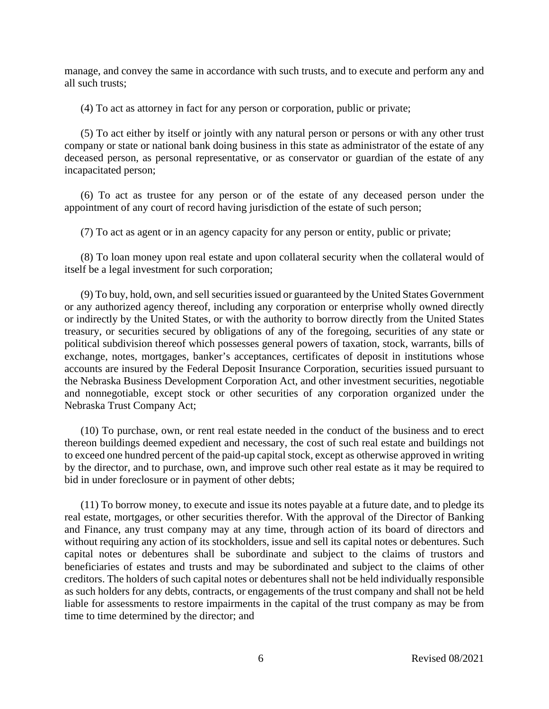manage, and convey the same in accordance with such trusts, and to execute and perform any and all such trusts;

(4) To act as attorney in fact for any person or corporation, public or private;

(5) To act either by itself or jointly with any natural person or persons or with any other trust company or state or national bank doing business in this state as administrator of the estate of any deceased person, as personal representative, or as conservator or guardian of the estate of any incapacitated person;

(6) To act as trustee for any person or of the estate of any deceased person under the appointment of any court of record having jurisdiction of the estate of such person;

(7) To act as agent or in an agency capacity for any person or entity, public or private;

(8) To loan money upon real estate and upon collateral security when the collateral would of itself be a legal investment for such corporation;

(9) To buy, hold, own, and sell securities issued or guaranteed by the United States Government or any authorized agency thereof, including any corporation or enterprise wholly owned directly or indirectly by the United States, or with the authority to borrow directly from the United States treasury, or securities secured by obligations of any of the foregoing, securities of any state or political subdivision thereof which possesses general powers of taxation, stock, warrants, bills of exchange, notes, mortgages, banker's acceptances, certificates of deposit in institutions whose accounts are insured by the Federal Deposit Insurance Corporation, securities issued pursuant to the Nebraska Business Development Corporation Act, and other investment securities, negotiable and nonnegotiable, except stock or other securities of any corporation organized under the Nebraska Trust Company Act;

(10) To purchase, own, or rent real estate needed in the conduct of the business and to erect thereon buildings deemed expedient and necessary, the cost of such real estate and buildings not to exceed one hundred percent of the paid-up capital stock, except as otherwise approved in writing by the director, and to purchase, own, and improve such other real estate as it may be required to bid in under foreclosure or in payment of other debts;

(11) To borrow money, to execute and issue its notes payable at a future date, and to pledge its real estate, mortgages, or other securities therefor. With the approval of the Director of Banking and Finance, any trust company may at any time, through action of its board of directors and without requiring any action of its stockholders, issue and sell its capital notes or debentures. Such capital notes or debentures shall be subordinate and subject to the claims of trustors and beneficiaries of estates and trusts and may be subordinated and subject to the claims of other creditors. The holders of such capital notes or debentures shall not be held individually responsible as such holders for any debts, contracts, or engagements of the trust company and shall not be held liable for assessments to restore impairments in the capital of the trust company as may be from time to time determined by the director; and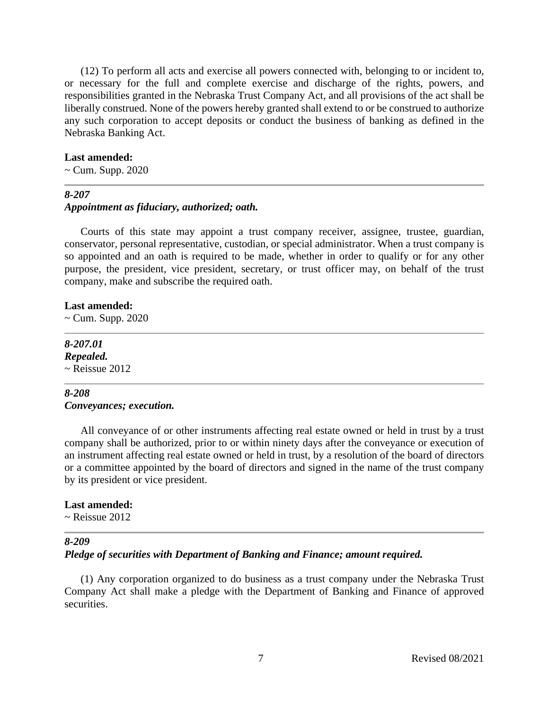(12) To perform all acts and exercise all powers connected with, belonging to or incident to, or necessary for the full and complete exercise and discharge of the rights, powers, and responsibilities granted in the Nebraska Trust Company Act, and all provisions of the act shall be liberally construed. None of the powers hereby granted shall extend to or be construed to authorize any such corporation to accept deposits or conduct the business of banking as defined in the Nebraska Banking Act.

#### **Last amended:**

 $\sim$  Cum. Supp. 2020

#### *8-207*

#### *Appointment as fiduciary, authorized; oath.*

Courts of this state may appoint a trust company receiver, assignee, trustee, guardian, conservator, personal representative, custodian, or special administrator. When a trust company is so appointed and an oath is required to be made, whether in order to qualify or for any other purpose, the president, vice president, secretary, or trust officer may, on behalf of the trust company, make and subscribe the required oath.

#### **Last amended:**

 $\sim$  Cum. Supp. 2020

# *8-207.01 Repealed.*  $\sim$  Reissue 2012

#### *8-208 Conveyances; execution.*

All conveyance of or other instruments affecting real estate owned or held in trust by a trust company shall be authorized, prior to or within ninety days after the conveyance or execution of an instrument affecting real estate owned or held in trust, by a resolution of the board of directors or a committee appointed by the board of directors and signed in the name of the trust company by its president or vice president.

#### **Last amended:**

 $\sim$  Reissue 2012

#### *8-209*

*Pledge of securities with Department of Banking and Finance; amount required.*

(1) Any corporation organized to do business as a trust company under the Nebraska Trust Company Act shall make a pledge with the Department of Banking and Finance of approved securities.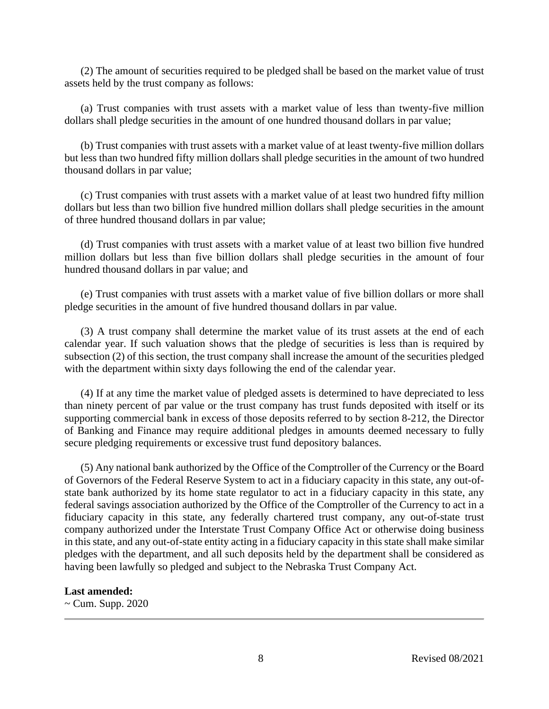(2) The amount of securities required to be pledged shall be based on the market value of trust assets held by the trust company as follows:

(a) Trust companies with trust assets with a market value of less than twenty-five million dollars shall pledge securities in the amount of one hundred thousand dollars in par value;

(b) Trust companies with trust assets with a market value of at least twenty-five million dollars but less than two hundred fifty million dollars shall pledge securities in the amount of two hundred thousand dollars in par value;

(c) Trust companies with trust assets with a market value of at least two hundred fifty million dollars but less than two billion five hundred million dollars shall pledge securities in the amount of three hundred thousand dollars in par value;

(d) Trust companies with trust assets with a market value of at least two billion five hundred million dollars but less than five billion dollars shall pledge securities in the amount of four hundred thousand dollars in par value; and

(e) Trust companies with trust assets with a market value of five billion dollars or more shall pledge securities in the amount of five hundred thousand dollars in par value.

(3) A trust company shall determine the market value of its trust assets at the end of each calendar year. If such valuation shows that the pledge of securities is less than is required by subsection (2) of this section, the trust company shall increase the amount of the securities pledged with the department within sixty days following the end of the calendar year.

(4) If at any time the market value of pledged assets is determined to have depreciated to less than ninety percent of par value or the trust company has trust funds deposited with itself or its supporting commercial bank in excess of those deposits referred to by section 8-212, the Director of Banking and Finance may require additional pledges in amounts deemed necessary to fully secure pledging requirements or excessive trust fund depository balances.

(5) Any national bank authorized by the Office of the Comptroller of the Currency or the Board of Governors of the Federal Reserve System to act in a fiduciary capacity in this state, any out-ofstate bank authorized by its home state regulator to act in a fiduciary capacity in this state, any federal savings association authorized by the Office of the Comptroller of the Currency to act in a fiduciary capacity in this state, any federally chartered trust company, any out-of-state trust company authorized under the Interstate Trust Company Office Act or otherwise doing business in this state, and any out-of-state entity acting in a fiduciary capacity in this state shall make similar pledges with the department, and all such deposits held by the department shall be considered as having been lawfully so pledged and subject to the Nebraska Trust Company Act.

#### **Last amended:**

 $\sim$  Cum. Supp. 2020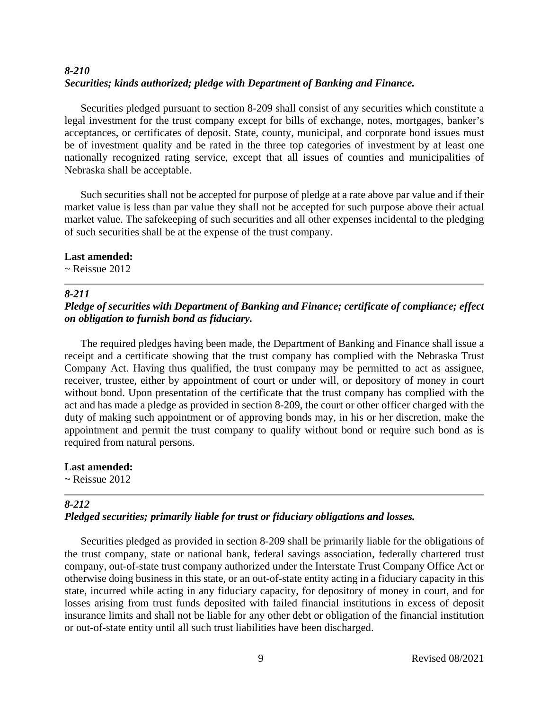# *8-210 Securities; kinds authorized; pledge with Department of Banking and Finance.*

Securities pledged pursuant to section 8-209 shall consist of any securities which constitute a legal investment for the trust company except for bills of exchange, notes, mortgages, banker's acceptances, or certificates of deposit. State, county, municipal, and corporate bond issues must be of investment quality and be rated in the three top categories of investment by at least one nationally recognized rating service, except that all issues of counties and municipalities of Nebraska shall be acceptable.

Such securities shall not be accepted for purpose of pledge at a rate above par value and if their market value is less than par value they shall not be accepted for such purpose above their actual market value. The safekeeping of such securities and all other expenses incidental to the pledging of such securities shall be at the expense of the trust company.

## **Last amended:**

 $\sim$  Reissue 2012

# *8-211*

# *Pledge of securities with Department of Banking and Finance; certificate of compliance; effect on obligation to furnish bond as fiduciary.*

The required pledges having been made, the Department of Banking and Finance shall issue a receipt and a certificate showing that the trust company has complied with the Nebraska Trust Company Act. Having thus qualified, the trust company may be permitted to act as assignee, receiver, trustee, either by appointment of court or under will, or depository of money in court without bond. Upon presentation of the certificate that the trust company has complied with the act and has made a pledge as provided in section 8-209, the court or other officer charged with the duty of making such appointment or of approving bonds may, in his or her discretion, make the appointment and permit the trust company to qualify without bond or require such bond as is required from natural persons.

**Last amended:**  $\sim$  Reissue 2012

# *8-212*

# *Pledged securities; primarily liable for trust or fiduciary obligations and losses.*

Securities pledged as provided in section 8-209 shall be primarily liable for the obligations of the trust company, state or national bank, federal savings association, federally chartered trust company, out-of-state trust company authorized under the Interstate Trust Company Office Act or otherwise doing business in this state, or an out-of-state entity acting in a fiduciary capacity in this state, incurred while acting in any fiduciary capacity, for depository of money in court, and for losses arising from trust funds deposited with failed financial institutions in excess of deposit insurance limits and shall not be liable for any other debt or obligation of the financial institution or out-of-state entity until all such trust liabilities have been discharged.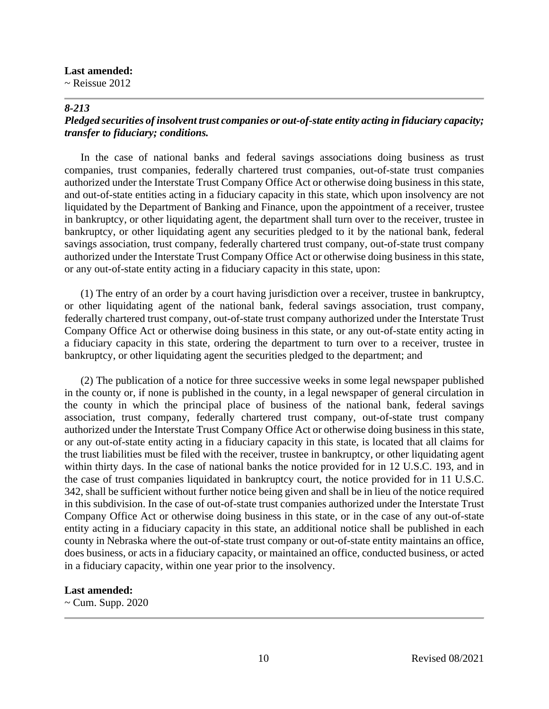#### **Last amended:**

 $\sim$  Reissue 2012

#### *8-213*

# *Pledged securities of insolvent trust companies or out-of-state entity acting in fiduciary capacity; transfer to fiduciary; conditions.*

In the case of national banks and federal savings associations doing business as trust companies, trust companies, federally chartered trust companies, out-of-state trust companies authorized under the Interstate Trust Company Office Act or otherwise doing business in this state, and out-of-state entities acting in a fiduciary capacity in this state, which upon insolvency are not liquidated by the Department of Banking and Finance, upon the appointment of a receiver, trustee in bankruptcy, or other liquidating agent, the department shall turn over to the receiver, trustee in bankruptcy, or other liquidating agent any securities pledged to it by the national bank, federal savings association, trust company, federally chartered trust company, out-of-state trust company authorized under the Interstate Trust Company Office Act or otherwise doing business in this state, or any out-of-state entity acting in a fiduciary capacity in this state, upon:

(1) The entry of an order by a court having jurisdiction over a receiver, trustee in bankruptcy, or other liquidating agent of the national bank, federal savings association, trust company, federally chartered trust company, out-of-state trust company authorized under the Interstate Trust Company Office Act or otherwise doing business in this state, or any out-of-state entity acting in a fiduciary capacity in this state, ordering the department to turn over to a receiver, trustee in bankruptcy, or other liquidating agent the securities pledged to the department; and

(2) The publication of a notice for three successive weeks in some legal newspaper published in the county or, if none is published in the county, in a legal newspaper of general circulation in the county in which the principal place of business of the national bank, federal savings association, trust company, federally chartered trust company, out-of-state trust company authorized under the Interstate Trust Company Office Act or otherwise doing business in this state, or any out-of-state entity acting in a fiduciary capacity in this state, is located that all claims for the trust liabilities must be filed with the receiver, trustee in bankruptcy, or other liquidating agent within thirty days. In the case of national banks the notice provided for in 12 U.S.C. 193, and in the case of trust companies liquidated in bankruptcy court, the notice provided for in 11 U.S.C. 342, shall be sufficient without further notice being given and shall be in lieu of the notice required in this subdivision. In the case of out-of-state trust companies authorized under the Interstate Trust Company Office Act or otherwise doing business in this state, or in the case of any out-of-state entity acting in a fiduciary capacity in this state, an additional notice shall be published in each county in Nebraska where the out-of-state trust company or out-of-state entity maintains an office, does business, or acts in a fiduciary capacity, or maintained an office, conducted business, or acted in a fiduciary capacity, within one year prior to the insolvency.

#### **Last amended:**

 $\sim$  Cum. Supp. 2020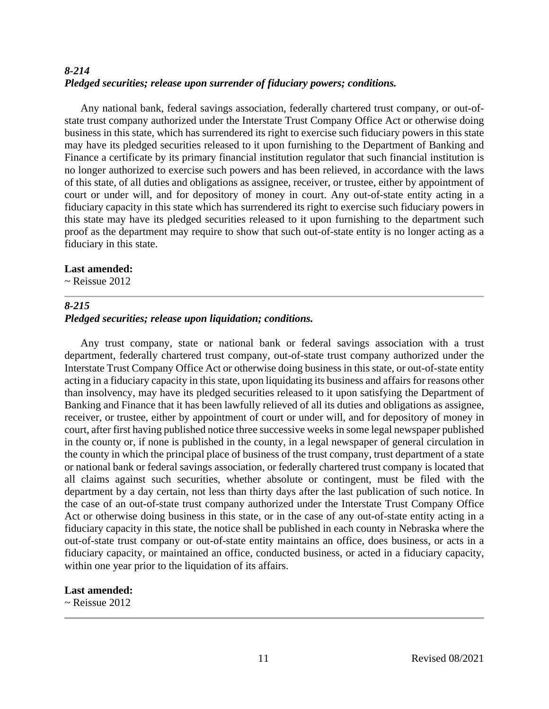# *8-214 Pledged securities; release upon surrender of fiduciary powers; conditions.*

Any national bank, federal savings association, federally chartered trust company, or out-ofstate trust company authorized under the Interstate Trust Company Office Act or otherwise doing business in this state, which has surrendered its right to exercise such fiduciary powers in this state may have its pledged securities released to it upon furnishing to the Department of Banking and Finance a certificate by its primary financial institution regulator that such financial institution is no longer authorized to exercise such powers and has been relieved, in accordance with the laws of this state, of all duties and obligations as assignee, receiver, or trustee, either by appointment of court or under will, and for depository of money in court. Any out-of-state entity acting in a fiduciary capacity in this state which has surrendered its right to exercise such fiduciary powers in this state may have its pledged securities released to it upon furnishing to the department such proof as the department may require to show that such out-of-state entity is no longer acting as a fiduciary in this state.

#### **Last amended:**

 $\sim$  Reissue 2012

#### *8-215*

## *Pledged securities; release upon liquidation; conditions.*

Any trust company, state or national bank or federal savings association with a trust department, federally chartered trust company, out-of-state trust company authorized under the Interstate Trust Company Office Act or otherwise doing business in this state, or out-of-state entity acting in a fiduciary capacity in this state, upon liquidating its business and affairs for reasons other than insolvency, may have its pledged securities released to it upon satisfying the Department of Banking and Finance that it has been lawfully relieved of all its duties and obligations as assignee, receiver, or trustee, either by appointment of court or under will, and for depository of money in court, after first having published notice three successive weeks in some legal newspaper published in the county or, if none is published in the county, in a legal newspaper of general circulation in the county in which the principal place of business of the trust company, trust department of a state or national bank or federal savings association, or federally chartered trust company is located that all claims against such securities, whether absolute or contingent, must be filed with the department by a day certain, not less than thirty days after the last publication of such notice. In the case of an out-of-state trust company authorized under the Interstate Trust Company Office Act or otherwise doing business in this state, or in the case of any out-of-state entity acting in a fiduciary capacity in this state, the notice shall be published in each county in Nebraska where the out-of-state trust company or out-of-state entity maintains an office, does business, or acts in a fiduciary capacity, or maintained an office, conducted business, or acted in a fiduciary capacity, within one year prior to the liquidation of its affairs.

#### **Last amended:**

 $\sim$  Reissue 2012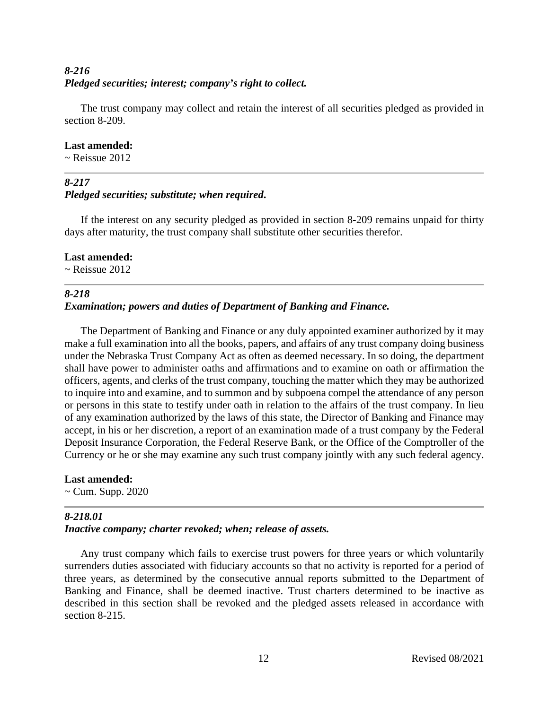# *8-216 Pledged securities; interest; company's right to collect.*

The trust company may collect and retain the interest of all securities pledged as provided in section 8-209.

## **Last amended:**

 $\sim$  Reissue 2012

# *8-217 Pledged securities; substitute; when required***.**

If the interest on any security pledged as provided in section 8-209 remains unpaid for thirty days after maturity, the trust company shall substitute other securities therefor.

## **Last amended:**

 $\sim$  Reissue 2012

# *8-218 Examination; powers and duties of Department of Banking and Finance.*

The Department of Banking and Finance or any duly appointed examiner authorized by it may make a full examination into all the books, papers, and affairs of any trust company doing business under the Nebraska Trust Company Act as often as deemed necessary. In so doing, the department shall have power to administer oaths and affirmations and to examine on oath or affirmation the officers, agents, and clerks of the trust company, touching the matter which they may be authorized to inquire into and examine, and to summon and by subpoena compel the attendance of any person or persons in this state to testify under oath in relation to the affairs of the trust company. In lieu of any examination authorized by the laws of this state, the Director of Banking and Finance may accept, in his or her discretion, a report of an examination made of a trust company by the Federal Deposit Insurance Corporation, the Federal Reserve Bank, or the Office of the Comptroller of the Currency or he or she may examine any such trust company jointly with any such federal agency.

# **Last amended:**

~ Cum. Supp. 2020

# *8-218.01*

# *Inactive company; charter revoked; when; release of assets.*

Any trust company which fails to exercise trust powers for three years or which voluntarily surrenders duties associated with fiduciary accounts so that no activity is reported for a period of three years, as determined by the consecutive annual reports submitted to the Department of Banking and Finance, shall be deemed inactive. Trust charters determined to be inactive as described in this section shall be revoked and the pledged assets released in accordance with section 8-215.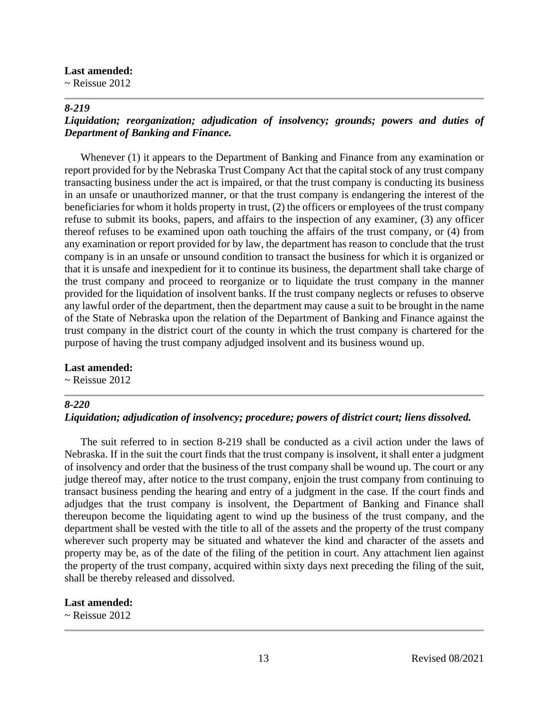#### **Last amended:**

 $\sim$  Reissue 2012

#### *8-219*

# *Liquidation; reorganization; adjudication of insolvency; grounds; powers and duties of Department of Banking and Finance.*

Whenever (1) it appears to the Department of Banking and Finance from any examination or report provided for by the Nebraska Trust Company Act that the capital stock of any trust company transacting business under the act is impaired, or that the trust company is conducting its business in an unsafe or unauthorized manner, or that the trust company is endangering the interest of the beneficiaries for whom it holds property in trust, (2) the officers or employees of the trust company refuse to submit its books, papers, and affairs to the inspection of any examiner, (3) any officer thereof refuses to be examined upon oath touching the affairs of the trust company, or (4) from any examination or report provided for by law, the department has reason to conclude that the trust company is in an unsafe or unsound condition to transact the business for which it is organized or that it is unsafe and inexpedient for it to continue its business, the department shall take charge of the trust company and proceed to reorganize or to liquidate the trust company in the manner provided for the liquidation of insolvent banks. If the trust company neglects or refuses to observe any lawful order of the department, then the department may cause a suit to be brought in the name of the State of Nebraska upon the relation of the Department of Banking and Finance against the trust company in the district court of the county in which the trust company is chartered for the purpose of having the trust company adjudged insolvent and its business wound up.

#### **Last amended:**

 $\sim$  Reissue 2012

# *8-220*

#### *Liquidation; adjudication of insolvency; procedure; powers of district court; liens dissolved.*

The suit referred to in section 8-219 shall be conducted as a civil action under the laws of Nebraska. If in the suit the court finds that the trust company is insolvent, it shall enter a judgment of insolvency and order that the business of the trust company shall be wound up. The court or any judge thereof may, after notice to the trust company, enjoin the trust company from continuing to transact business pending the hearing and entry of a judgment in the case. If the court finds and adjudges that the trust company is insolvent, the Department of Banking and Finance shall thereupon become the liquidating agent to wind up the business of the trust company, and the department shall be vested with the title to all of the assets and the property of the trust company wherever such property may be situated and whatever the kind and character of the assets and property may be, as of the date of the filing of the petition in court. Any attachment lien against the property of the trust company, acquired within sixty days next preceding the filing of the suit, shall be thereby released and dissolved.

#### **Last amended:**

~ Reissue 2012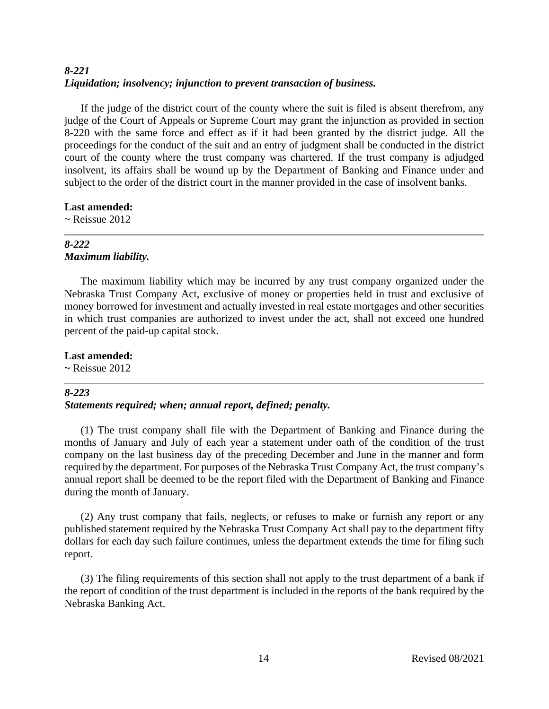# *8-221 Liquidation; insolvency; injunction to prevent transaction of business.*

If the judge of the district court of the county where the suit is filed is absent therefrom, any judge of the Court of Appeals or Supreme Court may grant the injunction as provided in section 8-220 with the same force and effect as if it had been granted by the district judge. All the proceedings for the conduct of the suit and an entry of judgment shall be conducted in the district court of the county where the trust company was chartered. If the trust company is adjudged insolvent, its affairs shall be wound up by the Department of Banking and Finance under and subject to the order of the district court in the manner provided in the case of insolvent banks.

## **Last amended:**

 $\sim$  Reissue 2012

## *8-222 Maximum liability.*

The maximum liability which may be incurred by any trust company organized under the Nebraska Trust Company Act, exclusive of money or properties held in trust and exclusive of money borrowed for investment and actually invested in real estate mortgages and other securities in which trust companies are authorized to invest under the act, shall not exceed one hundred percent of the paid-up capital stock.

## **Last amended:**

 $\sim$  Reissue 2012

# *8-223*

# *Statements required; when; annual report, defined; penalty.*

(1) The trust company shall file with the Department of Banking and Finance during the months of January and July of each year a statement under oath of the condition of the trust company on the last business day of the preceding December and June in the manner and form required by the department. For purposes of the Nebraska Trust Company Act, the trust company's annual report shall be deemed to be the report filed with the Department of Banking and Finance during the month of January.

(2) Any trust company that fails, neglects, or refuses to make or furnish any report or any published statement required by the Nebraska Trust Company Act shall pay to the department fifty dollars for each day such failure continues, unless the department extends the time for filing such report.

(3) The filing requirements of this section shall not apply to the trust department of a bank if the report of condition of the trust department is included in the reports of the bank required by the Nebraska Banking Act.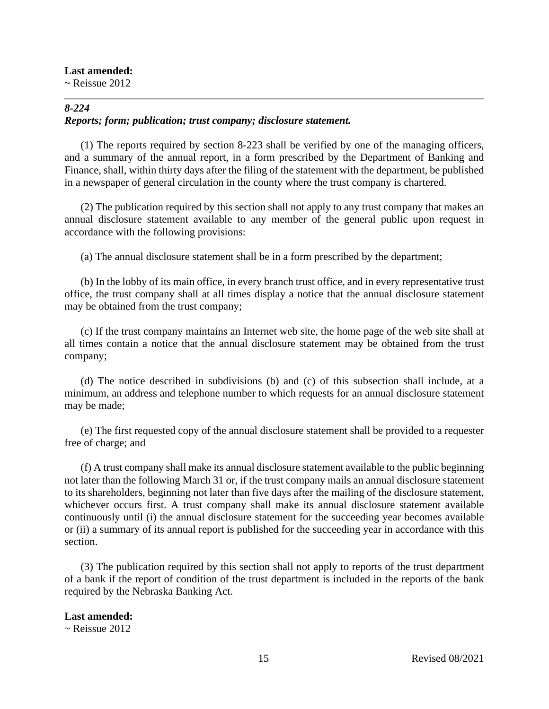#### **Last amended:**

 $\sim$  Reissue 2012

# *8-224 Reports; form; publication; trust company; disclosure statement.*

(1) The reports required by section 8-223 shall be verified by one of the managing officers, and a summary of the annual report, in a form prescribed by the Department of Banking and Finance, shall, within thirty days after the filing of the statement with the department, be published in a newspaper of general circulation in the county where the trust company is chartered.

(2) The publication required by this section shall not apply to any trust company that makes an annual disclosure statement available to any member of the general public upon request in accordance with the following provisions:

(a) The annual disclosure statement shall be in a form prescribed by the department;

(b) In the lobby of its main office, in every branch trust office, and in every representative trust office, the trust company shall at all times display a notice that the annual disclosure statement may be obtained from the trust company;

(c) If the trust company maintains an Internet web site, the home page of the web site shall at all times contain a notice that the annual disclosure statement may be obtained from the trust company;

(d) The notice described in subdivisions (b) and (c) of this subsection shall include, at a minimum, an address and telephone number to which requests for an annual disclosure statement may be made;

(e) The first requested copy of the annual disclosure statement shall be provided to a requester free of charge; and

(f) A trust company shall make its annual disclosure statement available to the public beginning not later than the following March 31 or, if the trust company mails an annual disclosure statement to its shareholders, beginning not later than five days after the mailing of the disclosure statement, whichever occurs first. A trust company shall make its annual disclosure statement available continuously until (i) the annual disclosure statement for the succeeding year becomes available or (ii) a summary of its annual report is published for the succeeding year in accordance with this section.

(3) The publication required by this section shall not apply to reports of the trust department of a bank if the report of condition of the trust department is included in the reports of the bank required by the Nebraska Banking Act.

# **Last amended:**

 $\sim$  Reissue 2012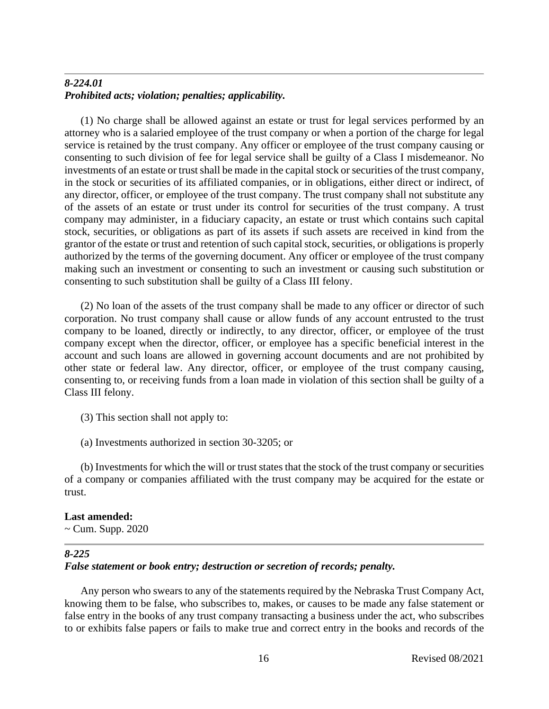# *8-224.01 Prohibited acts; violation; penalties; applicability.*

(1) No charge shall be allowed against an estate or trust for legal services performed by an attorney who is a salaried employee of the trust company or when a portion of the charge for legal service is retained by the trust company. Any officer or employee of the trust company causing or consenting to such division of fee for legal service shall be guilty of a Class I misdemeanor. No investments of an estate or trust shall be made in the capital stock or securities of the trust company, in the stock or securities of its affiliated companies, or in obligations, either direct or indirect, of any director, officer, or employee of the trust company. The trust company shall not substitute any of the assets of an estate or trust under its control for securities of the trust company. A trust company may administer, in a fiduciary capacity, an estate or trust which contains such capital stock, securities, or obligations as part of its assets if such assets are received in kind from the grantor of the estate or trust and retention of such capital stock, securities, or obligations is properly authorized by the terms of the governing document. Any officer or employee of the trust company making such an investment or consenting to such an investment or causing such substitution or consenting to such substitution shall be guilty of a Class III felony.

(2) No loan of the assets of the trust company shall be made to any officer or director of such corporation. No trust company shall cause or allow funds of any account entrusted to the trust company to be loaned, directly or indirectly, to any director, officer, or employee of the trust company except when the director, officer, or employee has a specific beneficial interest in the account and such loans are allowed in governing account documents and are not prohibited by other state or federal law. Any director, officer, or employee of the trust company causing, consenting to, or receiving funds from a loan made in violation of this section shall be guilty of a Class III felony.

- (3) This section shall not apply to:
- (a) Investments authorized in section 30-3205; or

(b) Investments for which the will or trust states that the stock of the trust company or securities of a company or companies affiliated with the trust company may be acquired for the estate or trust.

# **Last amended:**

 $\sim$  Cum. Supp. 2020

# *8-225*

# *False statement or book entry; destruction or secretion of records; penalty.*

Any person who swears to any of the statements required by the Nebraska Trust Company Act, knowing them to be false, who subscribes to, makes, or causes to be made any false statement or false entry in the books of any trust company transacting a business under the act, who subscribes to or exhibits false papers or fails to make true and correct entry in the books and records of the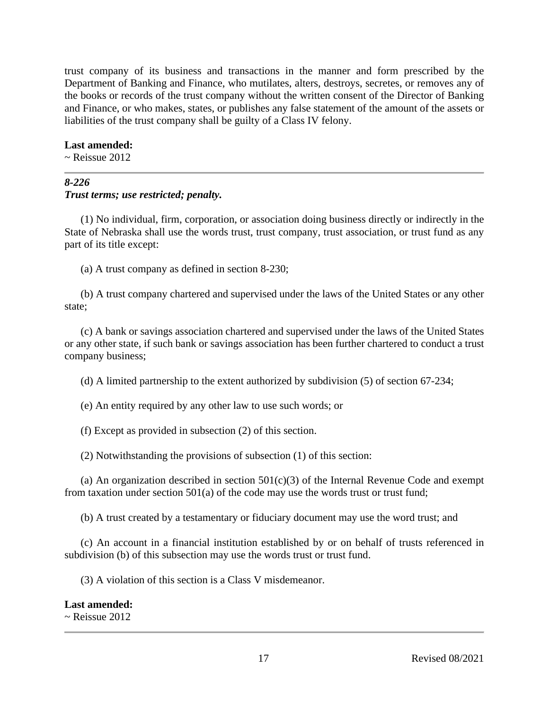trust company of its business and transactions in the manner and form prescribed by the Department of Banking and Finance, who mutilates, alters, destroys, secretes, or removes any of the books or records of the trust company without the written consent of the Director of Banking and Finance, or who makes, states, or publishes any false statement of the amount of the assets or liabilities of the trust company shall be guilty of a Class IV felony.

#### **Last amended:**

 $\sim$  Reissue 2012

# *8-226 Trust terms; use restricted; penalty.*

(1) No individual, firm, corporation, or association doing business directly or indirectly in the State of Nebraska shall use the words trust, trust company, trust association, or trust fund as any part of its title except:

(a) A trust company as defined in section 8-230;

(b) A trust company chartered and supervised under the laws of the United States or any other state;

(c) A bank or savings association chartered and supervised under the laws of the United States or any other state, if such bank or savings association has been further chartered to conduct a trust company business;

(d) A limited partnership to the extent authorized by subdivision (5) of section 67-234;

(e) An entity required by any other law to use such words; or

(f) Except as provided in subsection (2) of this section.

(2) Notwithstanding the provisions of subsection (1) of this section:

(a) An organization described in section  $501(c)(3)$  of the Internal Revenue Code and exempt from taxation under section 501(a) of the code may use the words trust or trust fund;

(b) A trust created by a testamentary or fiduciary document may use the word trust; and

(c) An account in a financial institution established by or on behalf of trusts referenced in subdivision (b) of this subsection may use the words trust or trust fund.

(3) A violation of this section is a Class V misdemeanor.

#### **Last amended:**  $\sim$  Reissue 2012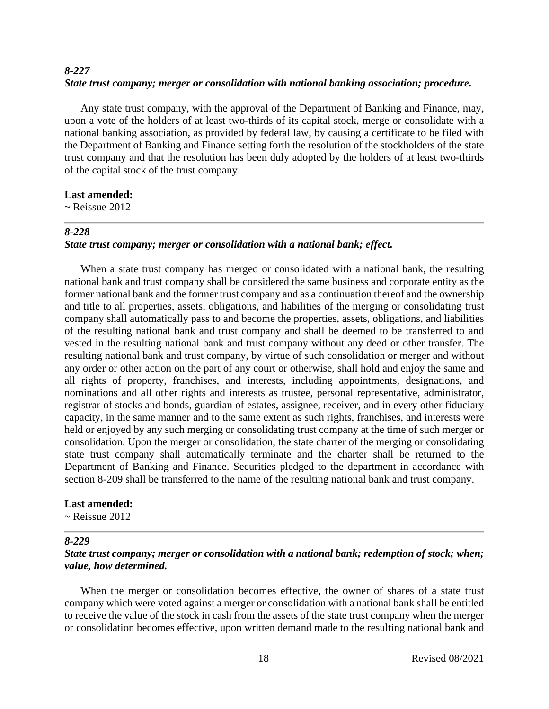# *8-227 State trust company; merger or consolidation with national banking association; procedure.*

Any state trust company, with the approval of the Department of Banking and Finance, may, upon a vote of the holders of at least two-thirds of its capital stock, merge or consolidate with a national banking association, as provided by federal law, by causing a certificate to be filed with the Department of Banking and Finance setting forth the resolution of the stockholders of the state trust company and that the resolution has been duly adopted by the holders of at least two-thirds of the capital stock of the trust company.

#### **Last amended:**

 $\sim$  Reissue 2012

#### *8-228*

# *State trust company; merger or consolidation with a national bank; effect.*

When a state trust company has merged or consolidated with a national bank, the resulting national bank and trust company shall be considered the same business and corporate entity as the former national bank and the former trust company and as a continuation thereof and the ownership and title to all properties, assets, obligations, and liabilities of the merging or consolidating trust company shall automatically pass to and become the properties, assets, obligations, and liabilities of the resulting national bank and trust company and shall be deemed to be transferred to and vested in the resulting national bank and trust company without any deed or other transfer. The resulting national bank and trust company, by virtue of such consolidation or merger and without any order or other action on the part of any court or otherwise, shall hold and enjoy the same and all rights of property, franchises, and interests, including appointments, designations, and nominations and all other rights and interests as trustee, personal representative, administrator, registrar of stocks and bonds, guardian of estates, assignee, receiver, and in every other fiduciary capacity, in the same manner and to the same extent as such rights, franchises, and interests were held or enjoyed by any such merging or consolidating trust company at the time of such merger or consolidation. Upon the merger or consolidation, the state charter of the merging or consolidating state trust company shall automatically terminate and the charter shall be returned to the Department of Banking and Finance. Securities pledged to the department in accordance with section 8-209 shall be transferred to the name of the resulting national bank and trust company.

#### **Last amended:**

 $\sim$  Reissue 2012

#### *8-229*

# *State trust company; merger or consolidation with a national bank; redemption of stock; when; value, how determined.*

When the merger or consolidation becomes effective, the owner of shares of a state trust company which were voted against a merger or consolidation with a national bank shall be entitled to receive the value of the stock in cash from the assets of the state trust company when the merger or consolidation becomes effective, upon written demand made to the resulting national bank and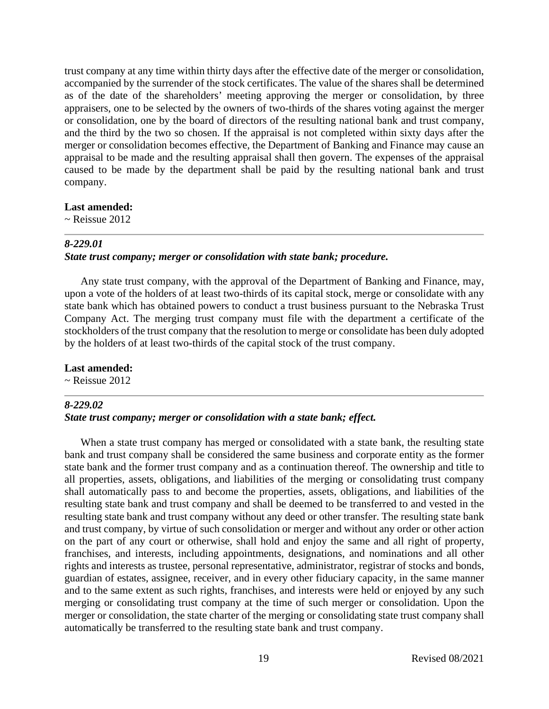trust company at any time within thirty days after the effective date of the merger or consolidation, accompanied by the surrender of the stock certificates. The value of the shares shall be determined as of the date of the shareholders' meeting approving the merger or consolidation, by three appraisers, one to be selected by the owners of two-thirds of the shares voting against the merger or consolidation, one by the board of directors of the resulting national bank and trust company, and the third by the two so chosen. If the appraisal is not completed within sixty days after the merger or consolidation becomes effective, the Department of Banking and Finance may cause an appraisal to be made and the resulting appraisal shall then govern. The expenses of the appraisal caused to be made by the department shall be paid by the resulting national bank and trust company.

#### **Last amended:**

 $\sim$  Reissue 2012

## *8-229.01*

# *State trust company; merger or consolidation with state bank; procedure.*

Any state trust company, with the approval of the Department of Banking and Finance, may, upon a vote of the holders of at least two-thirds of its capital stock, merge or consolidate with any state bank which has obtained powers to conduct a trust business pursuant to the Nebraska Trust Company Act. The merging trust company must file with the department a certificate of the stockholders of the trust company that the resolution to merge or consolidate has been duly adopted by the holders of at least two-thirds of the capital stock of the trust company.

#### **Last amended:**

 $\sim$  Reissue 2012

## *8-229.02 State trust company; merger or consolidation with a state bank; effect.*

# When a state trust company has merged or consolidated with a state bank, the resulting state bank and trust company shall be considered the same business and corporate entity as the former state bank and the former trust company and as a continuation thereof. The ownership and title to all properties, assets, obligations, and liabilities of the merging or consolidating trust company

shall automatically pass to and become the properties, assets, obligations, and liabilities of the resulting state bank and trust company and shall be deemed to be transferred to and vested in the resulting state bank and trust company without any deed or other transfer. The resulting state bank and trust company, by virtue of such consolidation or merger and without any order or other action on the part of any court or otherwise, shall hold and enjoy the same and all right of property, franchises, and interests, including appointments, designations, and nominations and all other rights and interests as trustee, personal representative, administrator, registrar of stocks and bonds, guardian of estates, assignee, receiver, and in every other fiduciary capacity, in the same manner and to the same extent as such rights, franchises, and interests were held or enjoyed by any such merging or consolidating trust company at the time of such merger or consolidation. Upon the merger or consolidation, the state charter of the merging or consolidating state trust company shall automatically be transferred to the resulting state bank and trust company.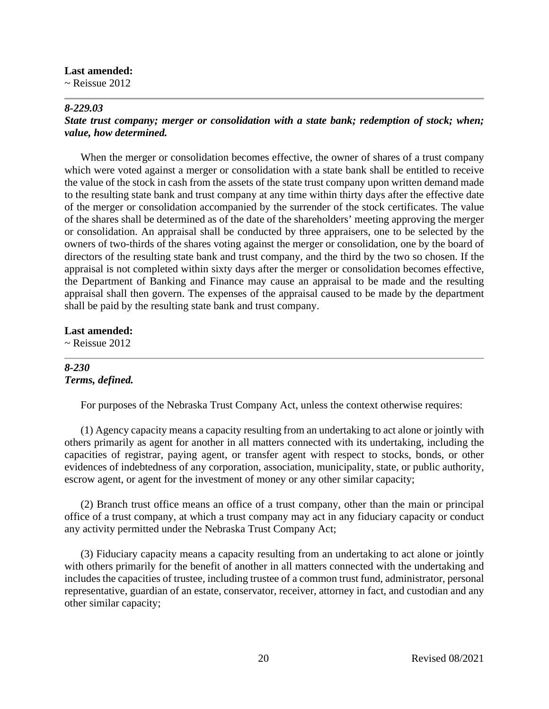#### **Last amended:**

 $\sim$  Reissue 2012

#### *8-229.03*

## *State trust company; merger or consolidation with a state bank; redemption of stock; when; value, how determined.*

When the merger or consolidation becomes effective, the owner of shares of a trust company which were voted against a merger or consolidation with a state bank shall be entitled to receive the value of the stock in cash from the assets of the state trust company upon written demand made to the resulting state bank and trust company at any time within thirty days after the effective date of the merger or consolidation accompanied by the surrender of the stock certificates. The value of the shares shall be determined as of the date of the shareholders' meeting approving the merger or consolidation. An appraisal shall be conducted by three appraisers, one to be selected by the owners of two-thirds of the shares voting against the merger or consolidation, one by the board of directors of the resulting state bank and trust company, and the third by the two so chosen. If the appraisal is not completed within sixty days after the merger or consolidation becomes effective, the Department of Banking and Finance may cause an appraisal to be made and the resulting appraisal shall then govern. The expenses of the appraisal caused to be made by the department shall be paid by the resulting state bank and trust company.

#### **Last amended:**

 $\sim$  Reissue 2012

## *8-230 Terms, defined.*

For purposes of the Nebraska Trust Company Act, unless the context otherwise requires:

(1) Agency capacity means a capacity resulting from an undertaking to act alone or jointly with others primarily as agent for another in all matters connected with its undertaking, including the capacities of registrar, paying agent, or transfer agent with respect to stocks, bonds, or other evidences of indebtedness of any corporation, association, municipality, state, or public authority, escrow agent, or agent for the investment of money or any other similar capacity;

(2) Branch trust office means an office of a trust company, other than the main or principal office of a trust company, at which a trust company may act in any fiduciary capacity or conduct any activity permitted under the Nebraska Trust Company Act;

(3) Fiduciary capacity means a capacity resulting from an undertaking to act alone or jointly with others primarily for the benefit of another in all matters connected with the undertaking and includes the capacities of trustee, including trustee of a common trust fund, administrator, personal representative, guardian of an estate, conservator, receiver, attorney in fact, and custodian and any other similar capacity;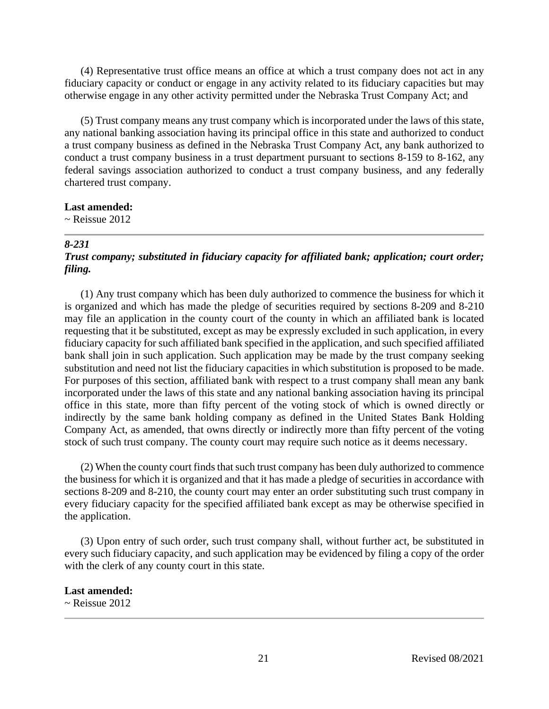(4) Representative trust office means an office at which a trust company does not act in any fiduciary capacity or conduct or engage in any activity related to its fiduciary capacities but may otherwise engage in any other activity permitted under the Nebraska Trust Company Act; and

(5) Trust company means any trust company which is incorporated under the laws of this state, any national banking association having its principal office in this state and authorized to conduct a trust company business as defined in the Nebraska Trust Company Act, any bank authorized to conduct a trust company business in a trust department pursuant to sections 8-159 to 8-162, any federal savings association authorized to conduct a trust company business, and any federally chartered trust company.

#### **Last amended:**

 $\sim$  Reissue 2012

#### *8-231*

# *Trust company; substituted in fiduciary capacity for affiliated bank; application; court order; filing.*

(1) Any trust company which has been duly authorized to commence the business for which it is organized and which has made the pledge of securities required by sections 8-209 and 8-210 may file an application in the county court of the county in which an affiliated bank is located requesting that it be substituted, except as may be expressly excluded in such application, in every fiduciary capacity for such affiliated bank specified in the application, and such specified affiliated bank shall join in such application. Such application may be made by the trust company seeking substitution and need not list the fiduciary capacities in which substitution is proposed to be made. For purposes of this section, affiliated bank with respect to a trust company shall mean any bank incorporated under the laws of this state and any national banking association having its principal office in this state, more than fifty percent of the voting stock of which is owned directly or indirectly by the same bank holding company as defined in the United States Bank Holding Company Act, as amended, that owns directly or indirectly more than fifty percent of the voting stock of such trust company. The county court may require such notice as it deems necessary.

(2) When the county court finds that such trust company has been duly authorized to commence the business for which it is organized and that it has made a pledge of securities in accordance with sections 8-209 and 8-210, the county court may enter an order substituting such trust company in every fiduciary capacity for the specified affiliated bank except as may be otherwise specified in the application.

(3) Upon entry of such order, such trust company shall, without further act, be substituted in every such fiduciary capacity, and such application may be evidenced by filing a copy of the order with the clerk of any county court in this state.

#### **Last amended:**

 $\sim$  Reissue 2012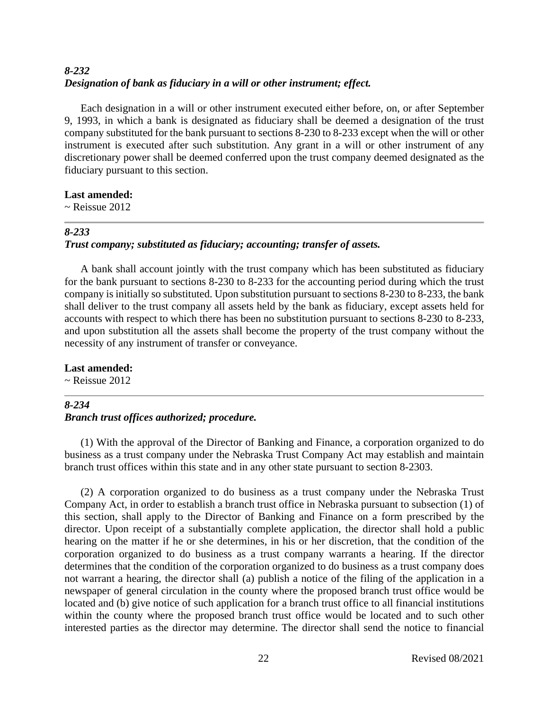# *8-232 Designation of bank as fiduciary in a will or other instrument; effect.*

Each designation in a will or other instrument executed either before, on, or after September 9, 1993, in which a bank is designated as fiduciary shall be deemed a designation of the trust company substituted for the bank pursuant to sections 8-230 to 8-233 except when the will or other instrument is executed after such substitution. Any grant in a will or other instrument of any discretionary power shall be deemed conferred upon the trust company deemed designated as the fiduciary pursuant to this section.

# **Last amended:**

 $\sim$  Reissue 2012

## *8-233*

# *Trust company; substituted as fiduciary; accounting; transfer of assets.*

A bank shall account jointly with the trust company which has been substituted as fiduciary for the bank pursuant to sections 8-230 to 8-233 for the accounting period during which the trust company is initially so substituted. Upon substitution pursuant to sections 8-230 to 8-233, the bank shall deliver to the trust company all assets held by the bank as fiduciary, except assets held for accounts with respect to which there has been no substitution pursuant to sections 8-230 to 8-233, and upon substitution all the assets shall become the property of the trust company without the necessity of any instrument of transfer or conveyance.

# **Last amended:**

 $\sim$  Reissue 2012

# *8-234*

# *Branch trust offices authorized; procedure.*

(1) With the approval of the Director of Banking and Finance, a corporation organized to do business as a trust company under the Nebraska Trust Company Act may establish and maintain branch trust offices within this state and in any other state pursuant to section 8-2303.

(2) A corporation organized to do business as a trust company under the Nebraska Trust Company Act, in order to establish a branch trust office in Nebraska pursuant to subsection (1) of this section, shall apply to the Director of Banking and Finance on a form prescribed by the director. Upon receipt of a substantially complete application, the director shall hold a public hearing on the matter if he or she determines, in his or her discretion, that the condition of the corporation organized to do business as a trust company warrants a hearing. If the director determines that the condition of the corporation organized to do business as a trust company does not warrant a hearing, the director shall (a) publish a notice of the filing of the application in a newspaper of general circulation in the county where the proposed branch trust office would be located and (b) give notice of such application for a branch trust office to all financial institutions within the county where the proposed branch trust office would be located and to such other interested parties as the director may determine. The director shall send the notice to financial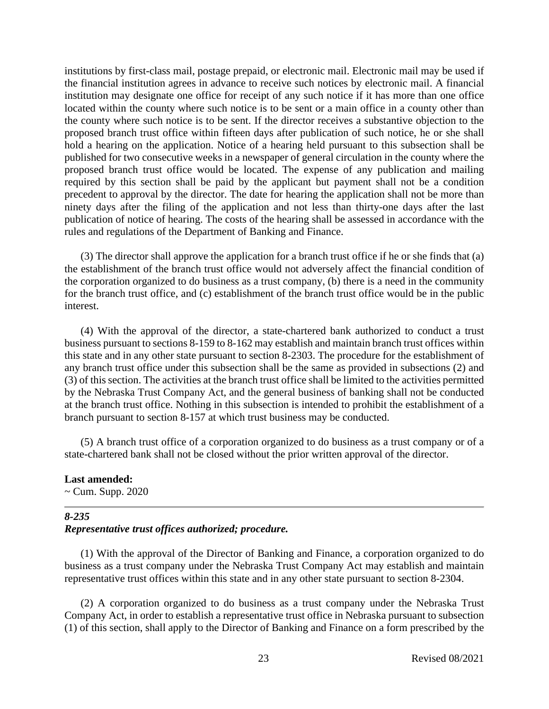institutions by first-class mail, postage prepaid, or electronic mail. Electronic mail may be used if the financial institution agrees in advance to receive such notices by electronic mail. A financial institution may designate one office for receipt of any such notice if it has more than one office located within the county where such notice is to be sent or a main office in a county other than the county where such notice is to be sent. If the director receives a substantive objection to the proposed branch trust office within fifteen days after publication of such notice, he or she shall hold a hearing on the application. Notice of a hearing held pursuant to this subsection shall be published for two consecutive weeks in a newspaper of general circulation in the county where the proposed branch trust office would be located. The expense of any publication and mailing required by this section shall be paid by the applicant but payment shall not be a condition precedent to approval by the director. The date for hearing the application shall not be more than ninety days after the filing of the application and not less than thirty-one days after the last publication of notice of hearing. The costs of the hearing shall be assessed in accordance with the rules and regulations of the Department of Banking and Finance.

(3) The director shall approve the application for a branch trust office if he or she finds that (a) the establishment of the branch trust office would not adversely affect the financial condition of the corporation organized to do business as a trust company, (b) there is a need in the community for the branch trust office, and (c) establishment of the branch trust office would be in the public interest.

(4) With the approval of the director, a state-chartered bank authorized to conduct a trust business pursuant to sections 8-159 to 8-162 may establish and maintain branch trust offices within this state and in any other state pursuant to section 8-2303. The procedure for the establishment of any branch trust office under this subsection shall be the same as provided in subsections (2) and (3) of this section. The activities at the branch trust office shall be limited to the activities permitted by the Nebraska Trust Company Act, and the general business of banking shall not be conducted at the branch trust office. Nothing in this subsection is intended to prohibit the establishment of a branch pursuant to section 8-157 at which trust business may be conducted.

(5) A branch trust office of a corporation organized to do business as a trust company or of a state-chartered bank shall not be closed without the prior written approval of the director.

#### **Last amended:**

~ Cum. Supp. 2020

#### *8-235*

#### *Representative trust offices authorized; procedure.*

(1) With the approval of the Director of Banking and Finance, a corporation organized to do business as a trust company under the Nebraska Trust Company Act may establish and maintain representative trust offices within this state and in any other state pursuant to section 8-2304.

(2) A corporation organized to do business as a trust company under the Nebraska Trust Company Act, in order to establish a representative trust office in Nebraska pursuant to subsection (1) of this section, shall apply to the Director of Banking and Finance on a form prescribed by the